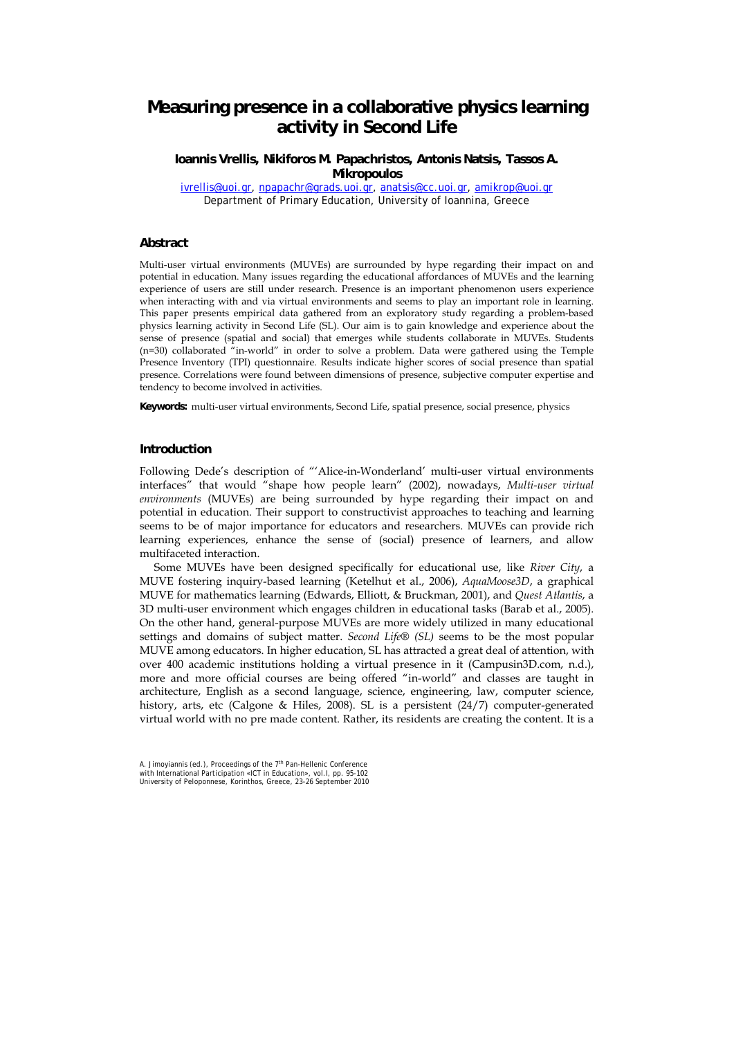# **Measuring presence in a collaborative physics learning activity in Second Life**

**Ioannis Vrellis, Nikiforos M. Papachristos, Antonis Natsis, Tassos A. Mikropoulos** 

ivrellis@uoi.gr, npapachr@grads.uoi.gr, anatsis@cc.uoi.gr, amikrop@uoi.gr Department of Primary Education, University of Ioannina, Greece

### **Abstract**

Multi-user virtual environments (MUVEs) are surrounded by hype regarding their impact on and potential in education. Many issues regarding the educational affordances of MUVEs and the learning experience of users are still under research. Presence is an important phenomenon users experience when interacting with and via virtual environments and seems to play an important role in learning. This paper presents empirical data gathered from an exploratory study regarding a problem-based physics learning activity in Second Life (SL). Our aim is to gain knowledge and experience about the sense of presence (spatial and social) that emerges while students collaborate in MUVEs. Students (n=30) collaborated "in-world" in order to solve a problem. Data were gathered using the Temple Presence Inventory (TPI) questionnaire. Results indicate higher scores of social presence than spatial presence. Correlations were found between dimensions of presence, subjective computer expertise and tendency to become involved in activities.

**Keywords:** multi-user virtual environments, Second Life, spatial presence, social presence, physics

#### **Introduction**

Following Dede's description of "'Alice-in-Wonderland' multi-user virtual environments interfaces" that would "shape how people learn" (2002), nowadays, *Multi-user virtual environments* (MUVEs) are being surrounded by hype regarding their impact on and potential in education. Their support to constructivist approaches to teaching and learning seems to be of major importance for educators and researchers. MUVEs can provide rich learning experiences, enhance the sense of (social) presence of learners, and allow multifaceted interaction.

Some MUVEs have been designed specifically for educational use, like *River City*, a MUVE fostering inquiry-based learning (Ketelhut et al., 2006), *AquaMoose3D*, a graphical MUVE for mathematics learning (Edwards, Elliott, & Bruckman, 2001), and *Quest Atlantis*, a 3D multi-user environment which engages children in educational tasks (Barab et al., 2005). On the other hand, general-purpose MUVEs are more widely utilized in many educational settings and domains of subject matter. *Second Life® (SL)* seems to be the most popular MUVE among educators. In higher education, SL has attracted a great deal of attention, with over 400 academic institutions holding a virtual presence in it (Campusin3D.com, n.d.), more and more official courses are being offered "in-world" and classes are taught in architecture, English as a second language, science, engineering, law, computer science, history, arts, etc (Calgone & Hiles, 2008). SL is a persistent (24/7) computer-generated virtual world with no pre made content. Rather, its residents are creating the content. It is a

A. Jimoyiannis (ed.), Proceedings of the 7<sup>th</sup> Pan-Hellenic Conference<br>with International Participation «ICT in Education», vol. I, pp. 95-102 University of Peloponnese, Korinthos, Greece, 23-26 September 2010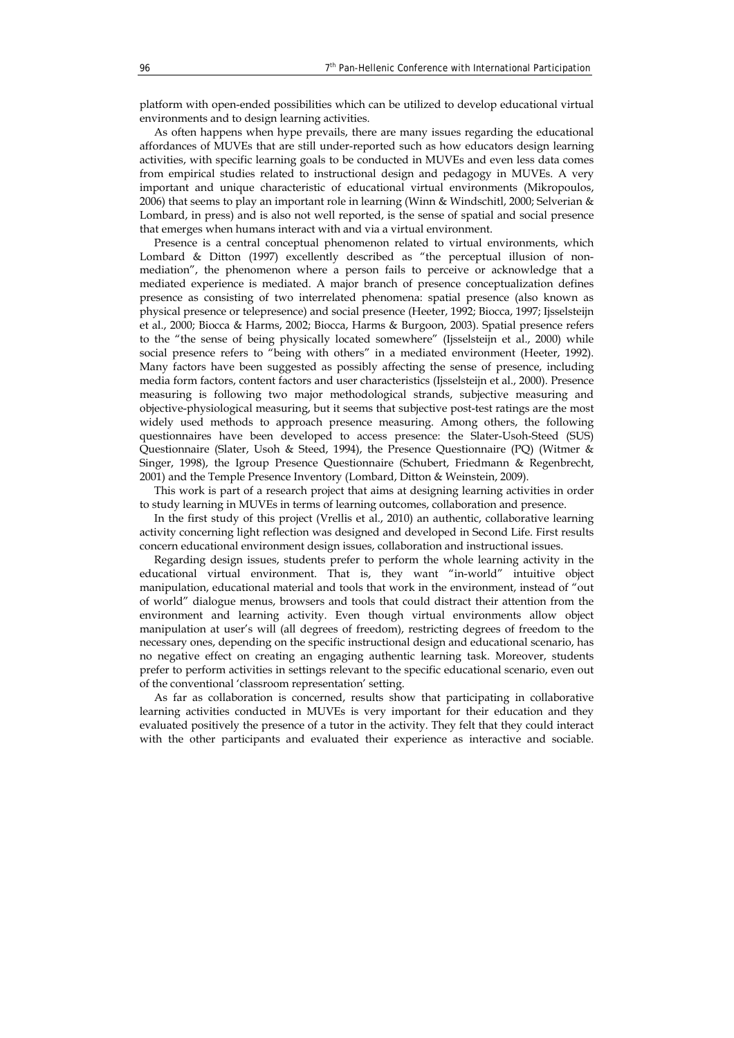platform with open-ended possibilities which can be utilized to develop educational virtual environments and to design learning activities.

As often happens when hype prevails, there are many issues regarding the educational affordances of MUVEs that are still under-reported such as how educators design learning activities, with specific learning goals to be conducted in MUVEs and even less data comes from empirical studies related to instructional design and pedagogy in MUVEs. A very important and unique characteristic of educational virtual environments (Mikropoulos, 2006) that seems to play an important role in learning (Winn & Windschitl, 2000; Selverian & Lombard, in press) and is also not well reported, is the sense of spatial and social presence that emerges when humans interact with and via a virtual environment.

Presence is a central conceptual phenomenon related to virtual environments, which Lombard & Ditton (1997) excellently described as "the perceptual illusion of nonmediation", the phenomenon where a person fails to perceive or acknowledge that a mediated experience is mediated. A major branch of presence conceptualization defines presence as consisting of two interrelated phenomena: spatial presence (also known as physical presence or telepresence) and social presence (Heeter, 1992; Biocca, 1997; Ijsselsteijn et al., 2000; Biocca & Harms, 2002; Biocca, Harms & Burgoon, 2003). Spatial presence refers to the "the sense of being physically located somewhere" (Ijsselsteijn et al., 2000) while social presence refers to "being with others" in a mediated environment (Heeter, 1992). Many factors have been suggested as possibly affecting the sense of presence, including media form factors, content factors and user characteristics (Ijsselsteijn et al., 2000). Presence measuring is following two major methodological strands, subjective measuring and objective-physiological measuring, but it seems that subjective post-test ratings are the most widely used methods to approach presence measuring. Among others, the following questionnaires have been developed to access presence: the Slater-Usoh-Steed (SUS) Questionnaire (Slater, Usoh & Steed, 1994), the Presence Questionnaire (PQ) (Witmer & Singer, 1998), the Igroup Presence Questionnaire (Schubert, Friedmann & Regenbrecht, 2001) and the Temple Presence Inventory (Lombard, Ditton & Weinstein, 2009).

This work is part of a research project that aims at designing learning activities in order to study learning in MUVEs in terms of learning outcomes, collaboration and presence.

In the first study of this project (Vrellis et al., 2010) an authentic, collaborative learning activity concerning light reflection was designed and developed in Second Life. First results concern educational environment design issues, collaboration and instructional issues.

Regarding design issues, students prefer to perform the whole learning activity in the educational virtual environment. That is, they want "in-world" intuitive object manipulation, educational material and tools that work in the environment, instead of "out of world" dialogue menus, browsers and tools that could distract their attention from the environment and learning activity. Even though virtual environments allow object manipulation at user's will (all degrees of freedom), restricting degrees of freedom to the necessary ones, depending on the specific instructional design and educational scenario, has no negative effect on creating an engaging authentic learning task. Moreover, students prefer to perform activities in settings relevant to the specific educational scenario, even out of the conventional 'classroom representation' setting.

As far as collaboration is concerned, results show that participating in collaborative learning activities conducted in MUVEs is very important for their education and they evaluated positively the presence of a tutor in the activity. They felt that they could interact with the other participants and evaluated their experience as interactive and sociable.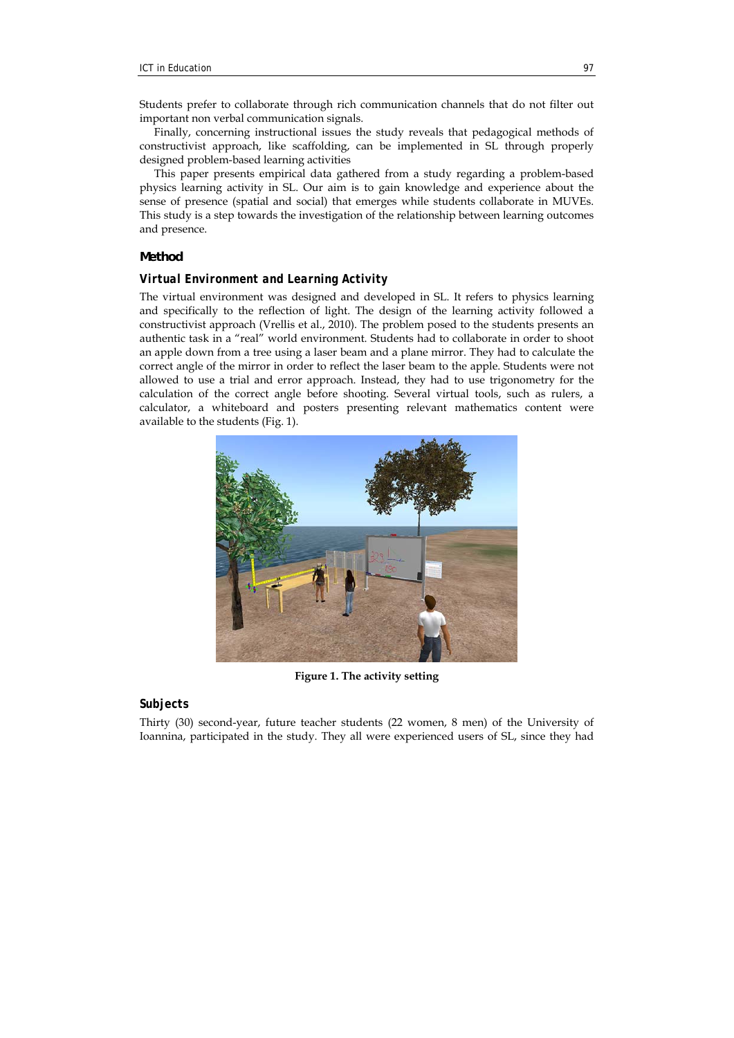Students prefer to collaborate through rich communication channels that do not filter out important non verbal communication signals.

Finally, concerning instructional issues the study reveals that pedagogical methods of constructivist approach, like scaffolding, can be implemented in SL through properly designed problem-based learning activities

This paper presents empirical data gathered from a study regarding a problem-based physics learning activity in SL. Our aim is to gain knowledge and experience about the sense of presence (spatial and social) that emerges while students collaborate in MUVEs. This study is a step towards the investigation of the relationship between learning outcomes and presence.

### **Method**

### *Virtual Environment and Learning Activity*

The virtual environment was designed and developed in SL. It refers to physics learning and specifically to the reflection of light. The design of the learning activity followed a constructivist approach (Vrellis et al., 2010). The problem posed to the students presents an authentic task in a "real" world environment. Students had to collaborate in order to shoot an apple down from a tree using a laser beam and a plane mirror. They had to calculate the correct angle of the mirror in order to reflect the laser beam to the apple. Students were not allowed to use a trial and error approach. Instead, they had to use trigonometry for the calculation of the correct angle before shooting. Several virtual tools, such as rulers, a calculator, a whiteboard and posters presenting relevant mathematics content were available to the students (Fig. 1).



**Figure 1. The activity setting** 

## *Subjects*

Thirty (30) second-year, future teacher students (22 women, 8 men) of the University of Ioannina, participated in the study. They all were experienced users of SL, since they had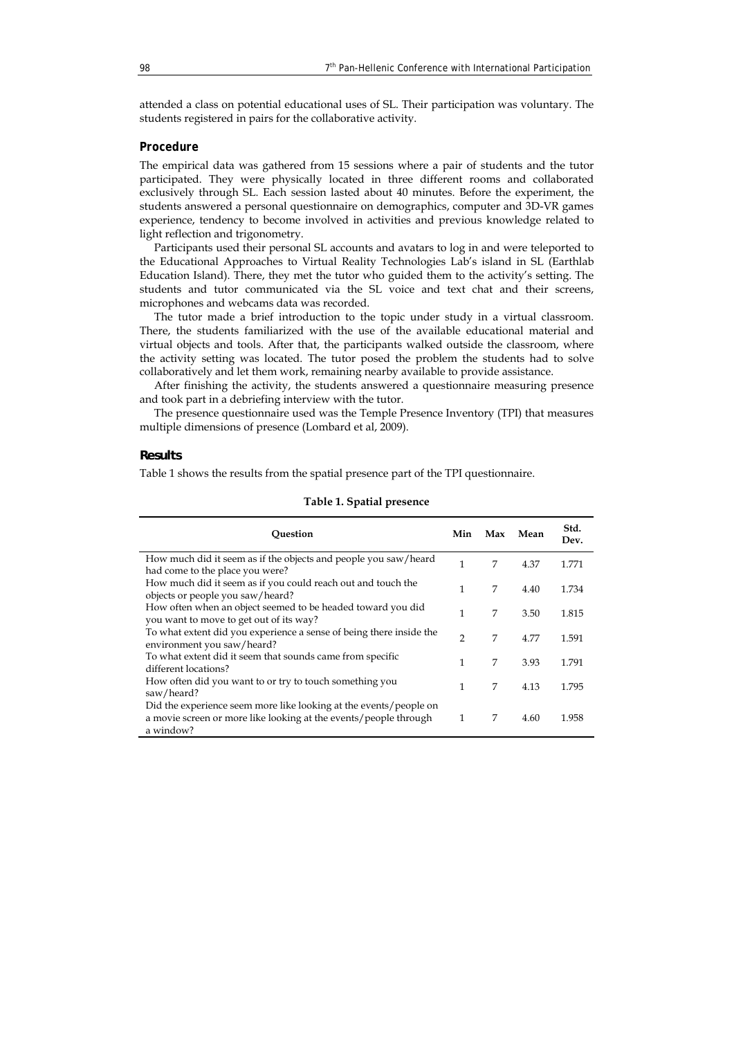attended a class on potential educational uses of SL. Their participation was voluntary. The students registered in pairs for the collaborative activity.

#### *Procedure*

The empirical data was gathered from 15 sessions where a pair of students and the tutor participated. They were physically located in three different rooms and collaborated exclusively through SL. Each session lasted about 40 minutes. Before the experiment, the students answered a personal questionnaire on demographics, computer and 3D-VR games experience, tendency to become involved in activities and previous knowledge related to light reflection and trigonometry.

Participants used their personal SL accounts and avatars to log in and were teleported to the Educational Approaches to Virtual Reality Technologies Lab's island in SL (Earthlab Education Island). There, they met the tutor who guided them to the activity's setting. The students and tutor communicated via the SL voice and text chat and their screens, microphones and webcams data was recorded.

The tutor made a brief introduction to the topic under study in a virtual classroom. There, the students familiarized with the use of the available educational material and virtual objects and tools. After that, the participants walked outside the classroom, where the activity setting was located. The tutor posed the problem the students had to solve collaboratively and let them work, remaining nearby available to provide assistance.

After finishing the activity, the students answered a questionnaire measuring presence and took part in a debriefing interview with the tutor.

The presence questionnaire used was the Temple Presence Inventory (TPI) that measures multiple dimensions of presence (Lombard et al, 2009).

### **Results**

Table 1 shows the results from the spatial presence part of the TPI questionnaire.

| Ouestion                                                                                                                                           | Min           | Max | Mean | Std.<br>Dev. |
|----------------------------------------------------------------------------------------------------------------------------------------------------|---------------|-----|------|--------------|
| How much did it seem as if the objects and people you saw/heard<br>had come to the place you were?                                                 | $\mathbf{1}$  | 7   | 4.37 | 1.771        |
| How much did it seem as if you could reach out and touch the<br>objects or people you saw/heard?                                                   | $\mathbf{1}$  | 7   | 4.40 | 1.734        |
| How often when an object seemed to be headed toward you did<br>you want to move to get out of its way?                                             | 1             | 7   | 3.50 | 1.815        |
| To what extent did you experience a sense of being there inside the<br>environment you saw/heard?                                                  | $\mathcal{P}$ | 7   | 4.77 | 1.591        |
| To what extent did it seem that sounds came from specific<br>different locations?                                                                  | 1             | 7   | 3.93 | 1.791        |
| How often did you want to or try to touch something you<br>saw/heard?                                                                              | 1             | 7   | 4.13 | 1.795        |
| Did the experience seem more like looking at the events/people on<br>a movie screen or more like looking at the events/people through<br>a window? | 1             | 7   | 4.60 | 1.958        |

#### **Table 1. Spatial presence**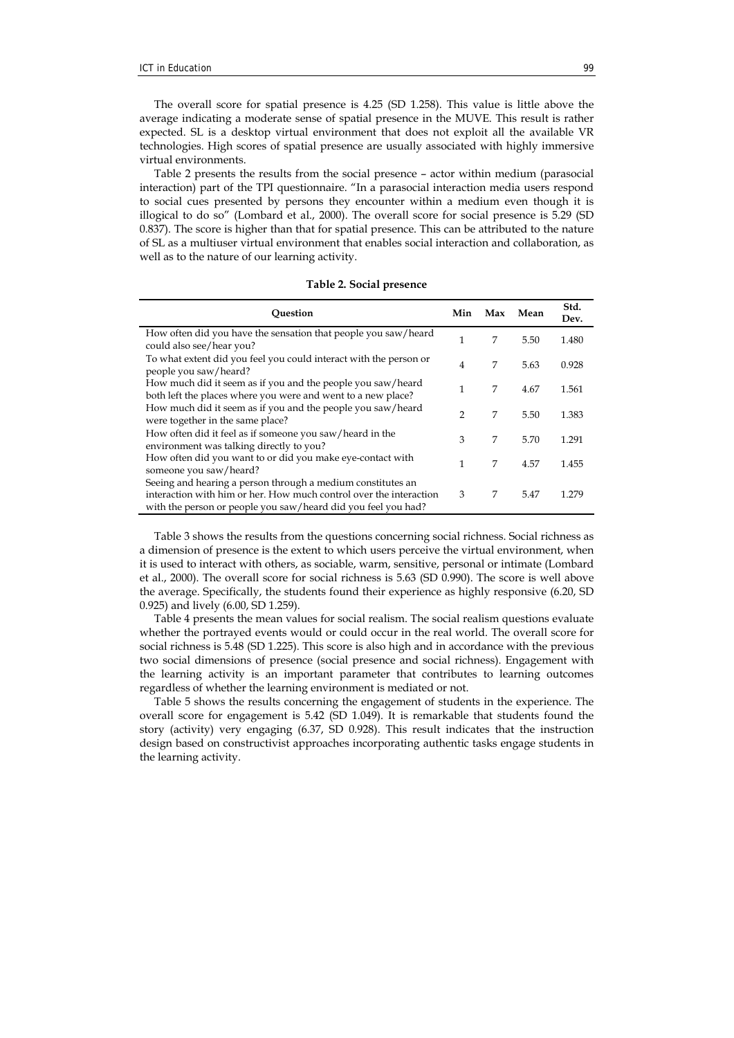The overall score for spatial presence is 4.25 (SD 1.258). This value is little above the average indicating a moderate sense of spatial presence in the MUVE. This result is rather expected. SL is a desktop virtual environment that does not exploit all the available VR technologies. High scores of spatial presence are usually associated with highly immersive virtual environments.

Table 2 presents the results from the social presence – actor within medium (parasocial interaction) part of the TPI questionnaire. "In a parasocial interaction media users respond to social cues presented by persons they encounter within a medium even though it is illogical to do so" (Lombard et al., 2000). The overall score for social presence is 5.29 (SD 0.837). The score is higher than that for spatial presence. This can be attributed to the nature of SL as a multiuser virtual environment that enables social interaction and collaboration, as well as to the nature of our learning activity.

| Ouestion                                                                                                                                                                                           | Min            | Max | Mean | Std.<br>Dev. |
|----------------------------------------------------------------------------------------------------------------------------------------------------------------------------------------------------|----------------|-----|------|--------------|
| How often did you have the sensation that people you saw/heard<br>could also see/hear you?                                                                                                         | 1              | 7   | 5.50 | 1.480        |
| To what extent did you feel you could interact with the person or<br>people you saw/heard?                                                                                                         | 4              | 7   | 5.63 | 0.928        |
| How much did it seem as if you and the people you saw/heard<br>both left the places where you were and went to a new place?                                                                        | 1              | 7   | 4.67 | 1.561        |
| How much did it seem as if you and the people you saw/heard<br>were together in the same place?                                                                                                    | $\overline{2}$ | 7   | 5.50 | 1.383        |
| How often did it feel as if someone you saw/heard in the<br>environment was talking directly to you?                                                                                               | 3              | 7   | 5.70 | 1.291        |
| How often did you want to or did you make eye-contact with<br>someone you saw/heard?                                                                                                               | 1              | 7   | 4.57 | 1.455        |
| Seeing and hearing a person through a medium constitutes an<br>interaction with him or her. How much control over the interaction<br>with the person or people you saw/heard did you feel you had? | 3              | 7   | 5.47 | 1.279        |

**Table 2. Social presence** 

Table 3 shows the results from the questions concerning social richness. Social richness as a dimension of presence is the extent to which users perceive the virtual environment, when it is used to interact with others, as sociable, warm, sensitive, personal or intimate (Lombard et al., 2000). The overall score for social richness is 5.63 (SD 0.990). The score is well above the average. Specifically, the students found their experience as highly responsive (6.20, SD 0.925) and lively (6.00, SD 1.259).

Table 4 presents the mean values for social realism. The social realism questions evaluate whether the portrayed events would or could occur in the real world. The overall score for social richness is 5.48 (SD 1.225). This score is also high and in accordance with the previous two social dimensions of presence (social presence and social richness). Engagement with the learning activity is an important parameter that contributes to learning outcomes regardless of whether the learning environment is mediated or not.

Table 5 shows the results concerning the engagement of students in the experience. The overall score for engagement is 5.42 (SD 1.049). It is remarkable that students found the story (activity) very engaging (6.37, SD 0.928). This result indicates that the instruction design based on constructivist approaches incorporating authentic tasks engage students in the learning activity.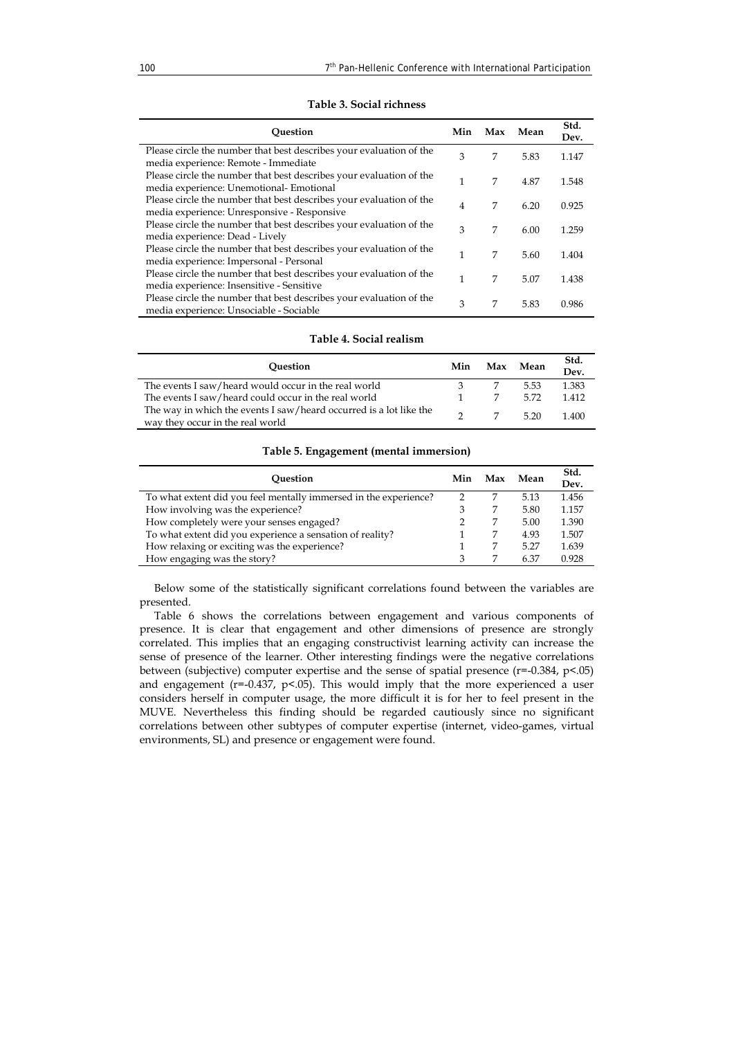| Ouestion                                                                                                           | Min | Max | Mean | Std.<br>Dev. |
|--------------------------------------------------------------------------------------------------------------------|-----|-----|------|--------------|
| Please circle the number that best describes your evaluation of the<br>media experience: Remote - Immediate        | 3   | 7   | 5.83 | 1.147        |
| Please circle the number that best describes your evaluation of the<br>media experience: Unemotional-Emotional     | 1   | 7   | 4.87 | 1.548        |
| Please circle the number that best describes your evaluation of the<br>media experience: Unresponsive - Responsive | 4   | 7   | 6.20 | 0.925        |
| Please circle the number that best describes your evaluation of the<br>media experience: Dead - Lively             | 3   | 7   | 6.00 | 1.259        |
| Please circle the number that best describes your evaluation of the<br>media experience: Impersonal - Personal     | 1   | 7   | 5.60 | 1.404        |
| Please circle the number that best describes your evaluation of the<br>media experience: Insensitive - Sensitive   |     | 7   | 5.07 | 1.438        |
| Please circle the number that best describes your evaluation of the<br>media experience: Unsociable - Sociable     | 3   | 7   | 5.83 | 0.986        |

### **Table 3. Social richness**

### **Table 4. Social realism**

| <b>Ouestion</b>                                                                                        | Min | Max Mean | Std.<br>Dev. |
|--------------------------------------------------------------------------------------------------------|-----|----------|--------------|
| The events I saw/heard would occur in the real world                                                   |     | 5.53     | 1.383        |
| The events I saw/heard could occur in the real world                                                   |     | 5.72     | 1412         |
| The way in which the events I saw/heard occurred is a lot like the<br>way they occur in the real world |     | 5.20     | 1.400        |

### **Table 5. Engagement (mental immersion)**

| <b>Ouestion</b>                                                  |  | Max | Mean | Std.<br>Dev. |
|------------------------------------------------------------------|--|-----|------|--------------|
| To what extent did you feel mentally immersed in the experience? |  |     | 5.13 | 1.456        |
| How involving was the experience?                                |  |     | 5.80 | 1.157        |
| How completely were your senses engaged?                         |  |     | 5.00 | 1.390        |
| To what extent did you experience a sensation of reality?        |  |     | 4.93 | 1.507        |
| How relaxing or exciting was the experience?                     |  |     | 5.27 | 1.639        |
| How engaging was the story?                                      |  |     | 6.37 | 0.928        |

Below some of the statistically significant correlations found between the variables are presented.

Table 6 shows the correlations between engagement and various components of presence. It is clear that engagement and other dimensions of presence are strongly correlated. This implies that an engaging constructivist learning activity can increase the sense of presence of the learner. Other interesting findings were the negative correlations between (subjective) computer expertise and the sense of spatial presence (r=-0.384, p<.05) and engagement ( $r=-0.437$ ,  $p<0.05$ ). This would imply that the more experienced a user considers herself in computer usage, the more difficult it is for her to feel present in the MUVE. Nevertheless this finding should be regarded cautiously since no significant correlations between other subtypes of computer expertise (internet, video-games, virtual environments, SL) and presence or engagement were found.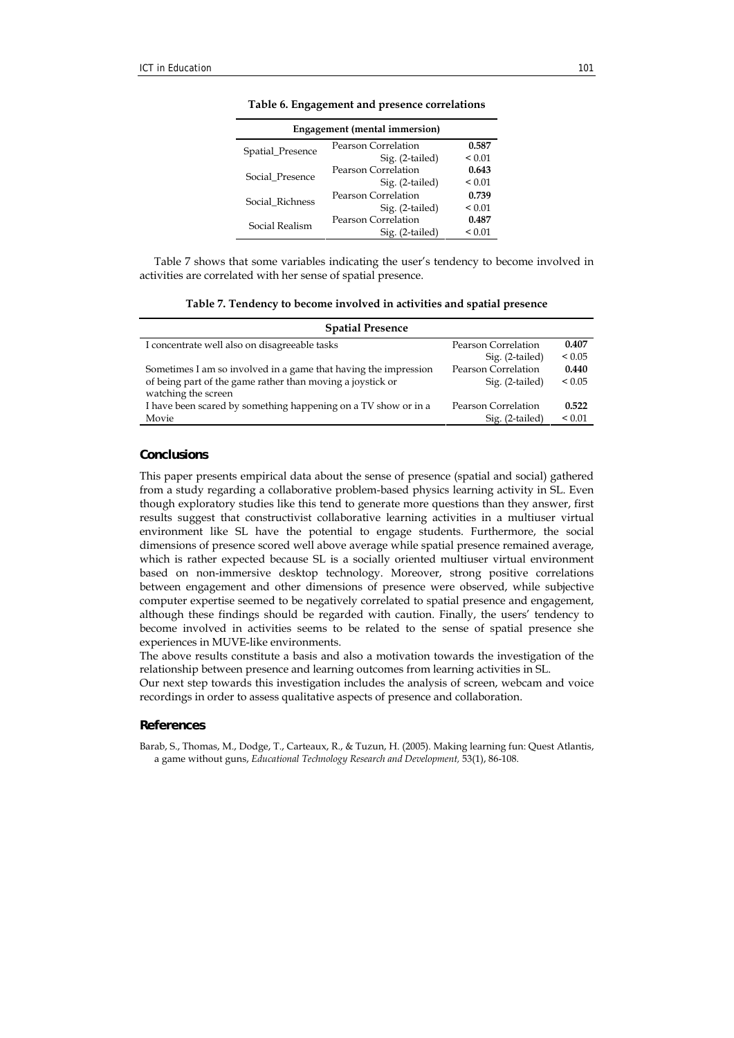| <b>Engagement</b> (mental immersion) |                     |             |  |
|--------------------------------------|---------------------|-------------|--|
| Spatial Presence                     | Pearson Correlation | 0.587       |  |
|                                      | Sig. (2-tailed)     | ${}_{0.01}$ |  |
|                                      | Pearson Correlation | 0.643       |  |
| Social Presence                      | Sig. (2-tailed)     | < 0.01      |  |
| Social Richness                      | Pearson Correlation | 0.739       |  |
|                                      | Sig. (2-tailed)     | < 0.01      |  |
| Social Realism                       | Pearson Correlation | 0.487       |  |
|                                      | Sig. (2-tailed)     | < 0.01      |  |

**Table 6. Engagement and presence correlations** 

Table 7 shows that some variables indicating the user's tendency to become involved in activities are correlated with her sense of spatial presence.

**Table 7. Tendency to become involved in activities and spatial presence** 

| <b>Spatial Presence</b>                                         |                     |             |  |  |
|-----------------------------------------------------------------|---------------------|-------------|--|--|
| I concentrate well also on disagreeable tasks                   | Pearson Correlation | 0.407       |  |  |
|                                                                 | Sig. (2-tailed)     | < 0.05      |  |  |
| Sometimes I am so involved in a game that having the impression | Pearson Correlation | 0.440       |  |  |
| of being part of the game rather than moving a joystick or      | Sig. (2-tailed)     | ${}_{0.05}$ |  |  |
| watching the screen                                             |                     |             |  |  |
| I have been scared by something happening on a TV show or in a  | Pearson Correlation | 0.522       |  |  |
| Movie                                                           | Sig. (2-tailed)     | ${}_{0.01}$ |  |  |
|                                                                 |                     |             |  |  |

### **Conclusions**

This paper presents empirical data about the sense of presence (spatial and social) gathered from a study regarding a collaborative problem-based physics learning activity in SL. Even though exploratory studies like this tend to generate more questions than they answer, first results suggest that constructivist collaborative learning activities in a multiuser virtual environment like SL have the potential to engage students. Furthermore, the social dimensions of presence scored well above average while spatial presence remained average, which is rather expected because SL is a socially oriented multiuser virtual environment based on non-immersive desktop technology. Moreover, strong positive correlations between engagement and other dimensions of presence were observed, while subjective computer expertise seemed to be negatively correlated to spatial presence and engagement, although these findings should be regarded with caution. Finally, the users' tendency to become involved in activities seems to be related to the sense of spatial presence she experiences in MUVE-like environments.

The above results constitute a basis and also a motivation towards the investigation of the relationship between presence and learning outcomes from learning activities in SL.

Our next step towards this investigation includes the analysis of screen, webcam and voice recordings in order to assess qualitative aspects of presence and collaboration.

### **References**

Barab, S., Thomas, M., Dodge, T., Carteaux, R., & Tuzun, H. (2005). Making learning fun: Quest Atlantis, a game without guns, *Educational Technology Research and Development,* 53(1), 86-108.